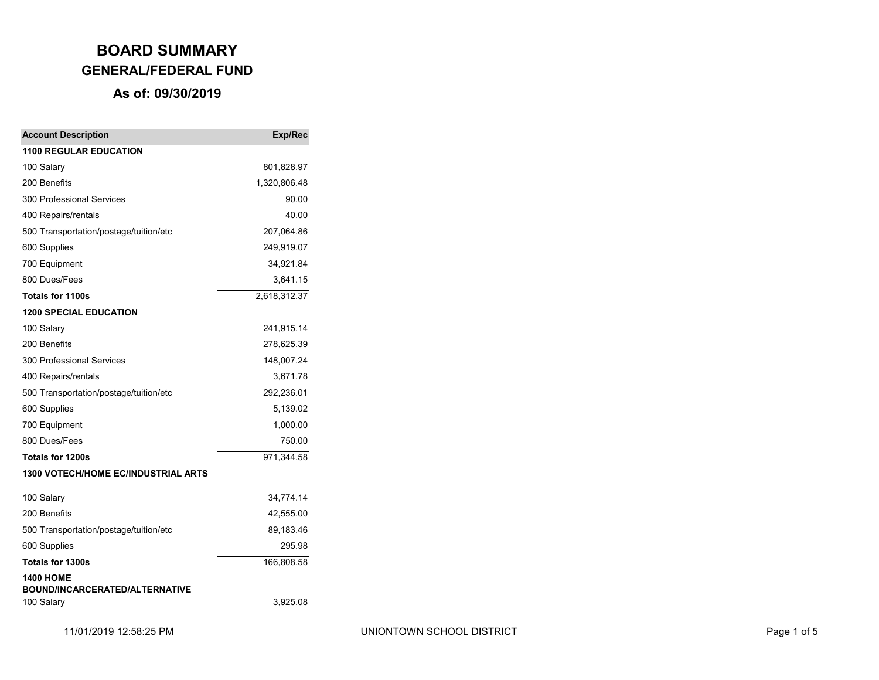| <b>Account Description</b>                          | Exp/Rec      |
|-----------------------------------------------------|--------------|
| <b>1100 REGULAR EDUCATION</b>                       |              |
| 100 Salary                                          | 801,828.97   |
| 200 Benefits                                        | 1,320,806.48 |
| 300 Professional Services                           | 90.00        |
| 400 Repairs/rentals                                 | 40.00        |
| 500 Transportation/postage/tuition/etc              | 207,064.86   |
| 600 Supplies                                        | 249,919.07   |
| 700 Equipment                                       | 34,921.84    |
| 800 Dues/Fees                                       | 3,641.15     |
| Totals for 1100s                                    | 2,618,312.37 |
| <b>1200 SPECIAL EDUCATION</b>                       |              |
| 100 Salary                                          | 241,915.14   |
| 200 Benefits                                        | 278,625.39   |
| 300 Professional Services                           | 148,007.24   |
| 400 Repairs/rentals                                 | 3,671.78     |
| 500 Transportation/postage/tuition/etc              | 292,236.01   |
| 600 Supplies                                        | 5,139.02     |
| 700 Equipment                                       | 1,000.00     |
| 800 Dues/Fees                                       | 750.00       |
| Totals for 1200s                                    | 971,344.58   |
| 1300 VOTECH/HOME EC/INDUSTRIAL ARTS                 |              |
| 100 Salary                                          | 34,774.14    |
| 200 Benefits                                        | 42,555.00    |
| 500 Transportation/postage/tuition/etc              | 89,183.46    |
| 600 Supplies                                        | 295.98       |
| Totals for 1300s                                    | 166,808.58   |
| <b>1400 HOME</b>                                    |              |
| <b>BOUND/INCARCERATED/ALTERNATIVE</b><br>100 Salary | 3,925.08     |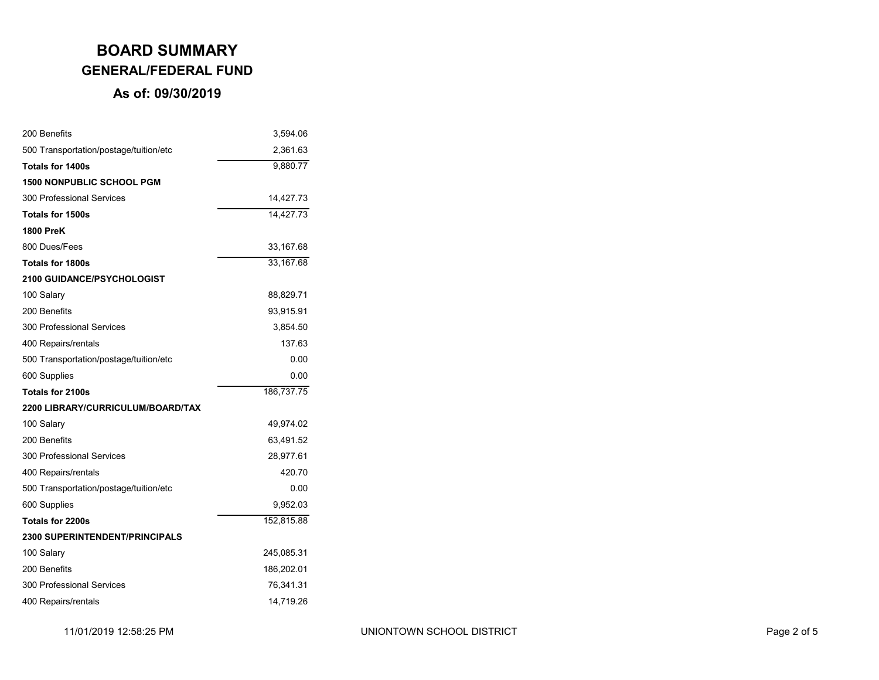| 200 Benefits                           | 3,594.06   |
|----------------------------------------|------------|
| 500 Transportation/postage/tuition/etc | 2,361.63   |
| Totals for 1400s                       | 9,880.77   |
| <b>1500 NONPUBLIC SCHOOL PGM</b>       |            |
| 300 Professional Services              | 14,427.73  |
| Totals for 1500s                       | 14,427.73  |
| <b>1800 PreK</b>                       |            |
| 800 Dues/Fees                          | 33,167.68  |
| <b>Totals for 1800s</b>                | 33,167.68  |
| <b>2100 GUIDANCE/PSYCHOLOGIST</b>      |            |
| 100 Salary                             | 88,829.71  |
| 200 Benefits                           | 93,915.91  |
| 300 Professional Services              | 3,854.50   |
| 400 Repairs/rentals                    | 137.63     |
| 500 Transportation/postage/tuition/etc | 0.00       |
| 600 Supplies                           | 0.00       |
| Totals for 2100s                       | 186,737.75 |
| 2200 LIBRARY/CURRICULUM/BOARD/TAX      |            |
| 100 Salary                             | 49,974.02  |
| 200 Benefits                           | 63,491.52  |
| 300 Professional Services              | 28,977.61  |
| 400 Repairs/rentals                    | 420.70     |
| 500 Transportation/postage/tuition/etc | 0.00       |
| 600 Supplies                           | 9,952.03   |
| Totals for 2200s                       | 152,815.88 |
| <b>2300 SUPERINTENDENT/PRINCIPALS</b>  |            |
| 100 Salary                             | 245,085.31 |
| 200 Benefits                           | 186,202.01 |
| 300 Professional Services              | 76,341.31  |
| 400 Repairs/rentals                    | 14,719.26  |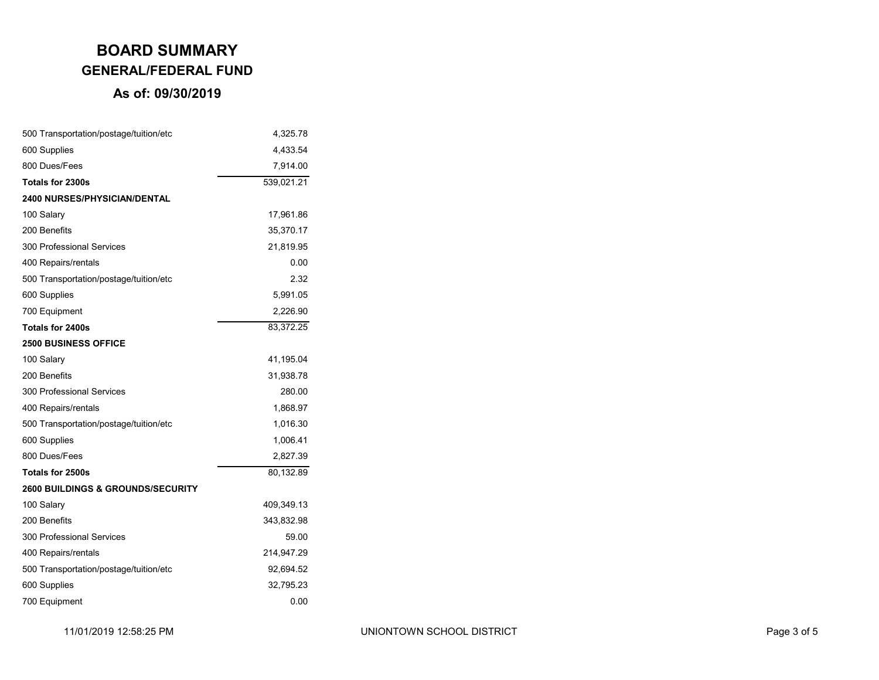| 500 Transportation/postage/tuition/etc       | 4,325.78   |
|----------------------------------------------|------------|
| 600 Supplies                                 | 4,433.54   |
| 800 Dues/Fees                                | 7,914.00   |
| Totals for 2300s                             | 539,021.21 |
| <b>2400 NURSES/PHYSICIAN/DENTAL</b>          |            |
| 100 Salary                                   | 17,961.86  |
| 200 Benefits                                 | 35,370.17  |
| 300 Professional Services                    | 21,819.95  |
| 400 Repairs/rentals                          | 0.00       |
| 500 Transportation/postage/tuition/etc       | 2.32       |
| 600 Supplies                                 | 5,991.05   |
| 700 Equipment                                | 2,226.90   |
| Totals for 2400s                             | 83,372.25  |
| <b>2500 BUSINESS OFFICE</b>                  |            |
| 100 Salary                                   | 41,195.04  |
| 200 Benefits                                 | 31,938.78  |
| 300 Professional Services                    | 280.00     |
| 400 Repairs/rentals                          | 1,868.97   |
| 500 Transportation/postage/tuition/etc       | 1,016.30   |
| 600 Supplies                                 | 1,006.41   |
| 800 Dues/Fees                                | 2,827.39   |
| Totals for 2500s                             | 80,132.89  |
| <b>2600 BUILDINGS &amp; GROUNDS/SECURITY</b> |            |
| 100 Salary                                   | 409,349.13 |
| 200 Benefits                                 | 343,832.98 |
| 300 Professional Services                    | 59.00      |
| 400 Repairs/rentals                          | 214,947.29 |
| 500 Transportation/postage/tuition/etc       | 92,694.52  |
| 600 Supplies                                 | 32,795.23  |
| 700 Equipment                                | 0.00       |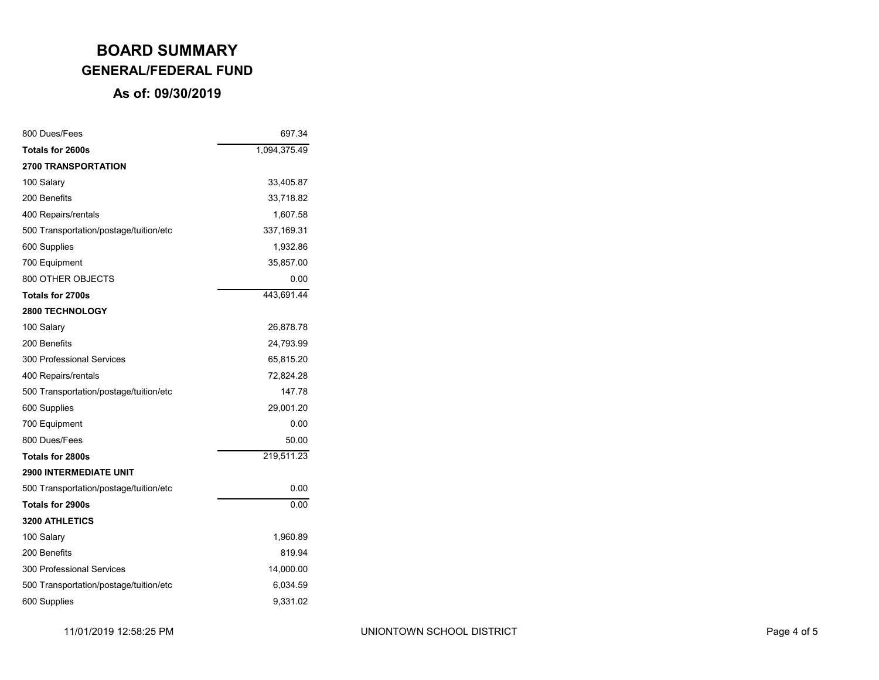| 800 Dues/Fees                          | 697.34       |
|----------------------------------------|--------------|
| Totals for 2600s                       | 1,094,375.49 |
| <b>2700 TRANSPORTATION</b>             |              |
| 100 Salary                             | 33,405.87    |
| 200 Benefits                           | 33,718.82    |
| 400 Repairs/rentals                    | 1,607.58     |
| 500 Transportation/postage/tuition/etc | 337, 169.31  |
| 600 Supplies                           | 1,932.86     |
| 700 Equipment                          | 35,857.00    |
| 800 OTHER OBJECTS                      | 0.00         |
| Totals for 2700s                       | 443,691.44   |
| <b>2800 TECHNOLOGY</b>                 |              |
| 100 Salary                             | 26,878.78    |
| 200 Benefits                           | 24,793.99    |
| 300 Professional Services              | 65,815.20    |
| 400 Repairs/rentals                    | 72,824.28    |
| 500 Transportation/postage/tuition/etc | 147.78       |
| 600 Supplies                           | 29,001.20    |
| 700 Equipment                          | 0.00         |
| 800 Dues/Fees                          | 50.00        |
| Totals for 2800s                       | 219,511.23   |
| <b>2900 INTERMEDIATE UNIT</b>          |              |
| 500 Transportation/postage/tuition/etc | 0.00         |
| Totals for 2900s                       | 0.00         |
| <b>3200 ATHLETICS</b>                  |              |
| 100 Salary                             | 1,960.89     |
| 200 Benefits                           | 819.94       |
| 300 Professional Services              | 14,000.00    |
| 500 Transportation/postage/tuition/etc | 6,034.59     |
| 600 Supplies                           | 9,331.02     |